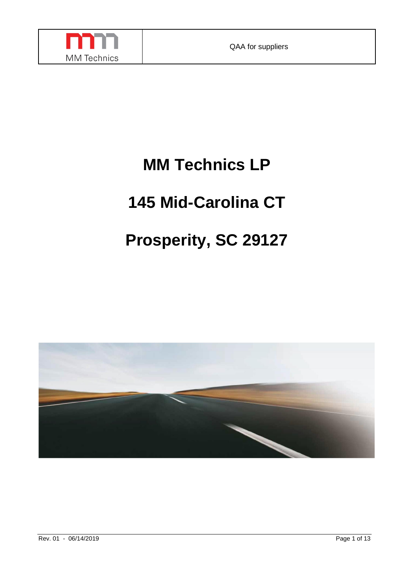

# **MM Technics LP**

# **145 Mid-Carolina CT**

# **Prosperity, SC 29127**

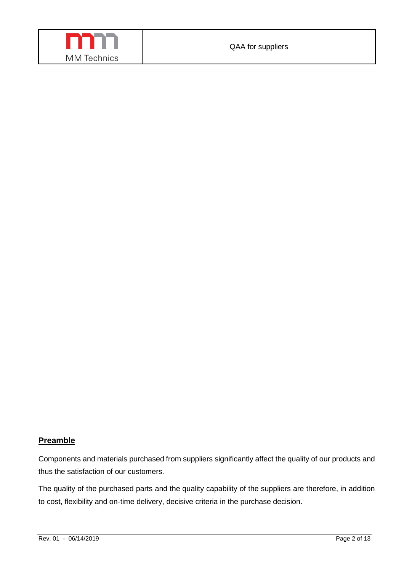

#### **Preamble**

Components and materials purchased from suppliers significantly affect the quality of our products and thus the satisfaction of our customers.

The quality of the purchased parts and the quality capability of the suppliers are therefore, in addition to cost, flexibility and on-time delivery, decisive criteria in the purchase decision.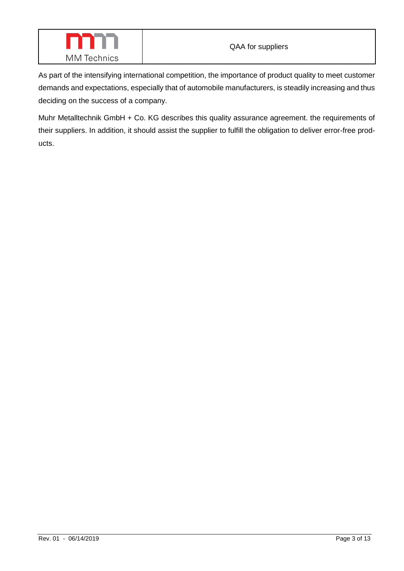

As part of the intensifying international competition, the importance of product quality to meet customer demands and expectations, especially that of automobile manufacturers, is steadily increasing and thus deciding on the success of a company.

Muhr Metalltechnik GmbH + Co. KG describes this quality assurance agreement. the requirements of their suppliers. In addition, it should assist the supplier to fulfill the obligation to deliver error-free products.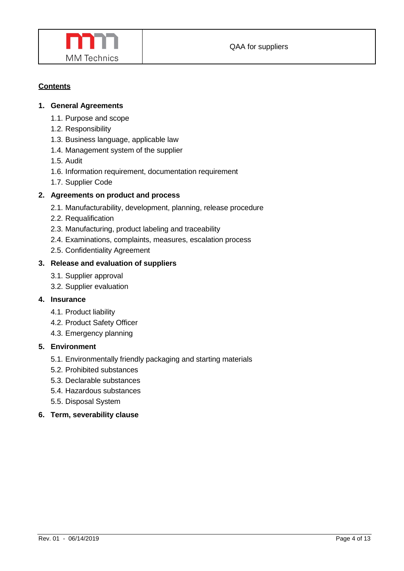

# **Contents**

## **1. General Agreements**

- 1.1. Purpose and scope
- 1.2. Responsibility
- 1.3. Business language, applicable law
- 1.4. Management system of the supplier
- 1.5. Audit
- 1.6. Information requirement, documentation requirement
- 1.7. Supplier Code

## **2. Agreements on product and process**

- 2.1. Manufacturability, development, planning, release procedure
- 2.2. Requalification
- 2.3. Manufacturing, product labeling and traceability
- 2.4. Examinations, complaints, measures, escalation process
- 2.5. Confidentiality Agreement

## **3. Release and evaluation of suppliers**

- 3.1. Supplier approval
- 3.2. Supplier evaluation

#### **4. Insurance**

- 4.1. Product liability
- 4.2. Product Safety Officer
- 4.3. Emergency planning

## **5. Environment**

- 5.1. Environmentally friendly packaging and starting materials
- 5.2. Prohibited substances
- 5.3. Declarable substances
- 5.4. Hazardous substances
- 5.5. Disposal System
- **6. Term, severability clause**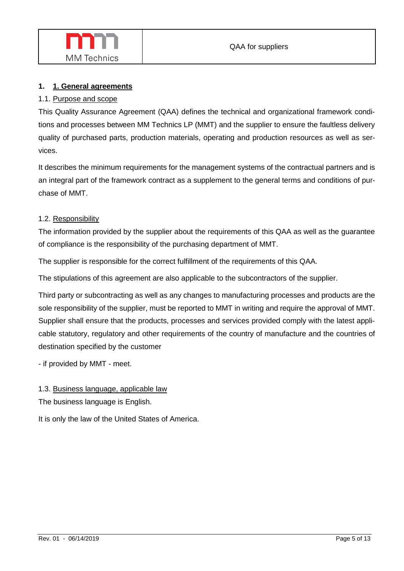# **1. 1. General agreements**

# 1.1. Purpose and scope

This Quality Assurance Agreement (QAA) defines the technical and organizational framework conditions and processes between MM Technics LP (MMT) and the supplier to ensure the faultless delivery quality of purchased parts, production materials, operating and production resources as well as services.

It describes the minimum requirements for the management systems of the contractual partners and is an integral part of the framework contract as a supplement to the general terms and conditions of purchase of MMT.

# 1.2. Responsibility

The information provided by the supplier about the requirements of this QAA as well as the guarantee of compliance is the responsibility of the purchasing department of MMT.

The supplier is responsible for the correct fulfillment of the requirements of this QAA.

The stipulations of this agreement are also applicable to the subcontractors of the supplier.

Third party or subcontracting as well as any changes to manufacturing processes and products are the sole responsibility of the supplier, must be reported to MMT in writing and require the approval of MMT. Supplier shall ensure that the products, processes and services provided comply with the latest applicable statutory, regulatory and other requirements of the country of manufacture and the countries of destination specified by the customer

- if provided by MMT - meet.

# 1.3. Business language, applicable law

The business language is English.

It is only the law of the United States of America.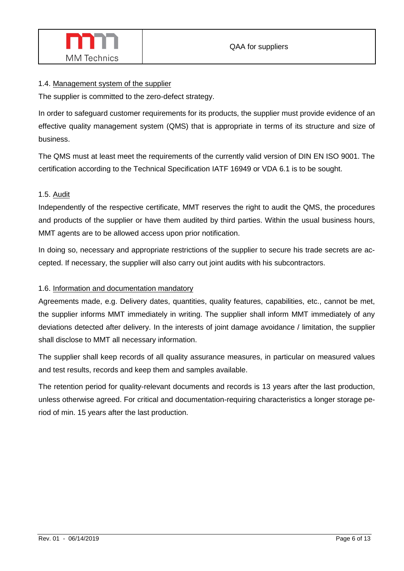

## 1.4. Management system of the supplier

The supplier is committed to the zero-defect strategy.

In order to safeguard customer requirements for its products, the supplier must provide evidence of an effective quality management system (QMS) that is appropriate in terms of its structure and size of business.

The QMS must at least meet the requirements of the currently valid version of DIN EN ISO 9001. The certification according to the Technical Specification IATF 16949 or VDA 6.1 is to be sought.

# 1.5. Audit

Independently of the respective certificate, MMT reserves the right to audit the QMS, the procedures and products of the supplier or have them audited by third parties. Within the usual business hours, MMT agents are to be allowed access upon prior notification.

In doing so, necessary and appropriate restrictions of the supplier to secure his trade secrets are accepted. If necessary, the supplier will also carry out joint audits with his subcontractors.

## 1.6. Information and documentation mandatory

Agreements made, e.g. Delivery dates, quantities, quality features, capabilities, etc., cannot be met, the supplier informs MMT immediately in writing. The supplier shall inform MMT immediately of any deviations detected after delivery. In the interests of joint damage avoidance / limitation, the supplier shall disclose to MMT all necessary information.

The supplier shall keep records of all quality assurance measures, in particular on measured values and test results, records and keep them and samples available.

The retention period for quality-relevant documents and records is 13 years after the last production, unless otherwise agreed. For critical and documentation-requiring characteristics a longer storage period of min. 15 years after the last production.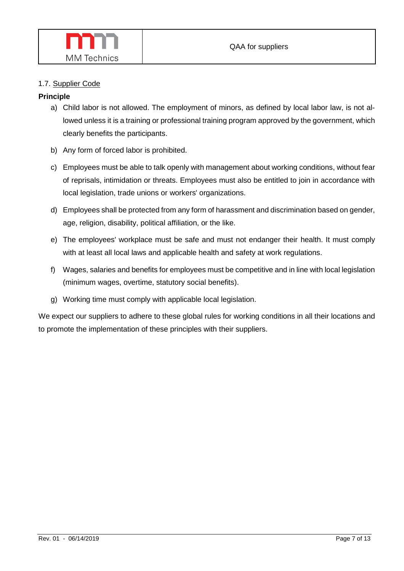

## 1.7. Supplier Code

## **Principle**

- a) Child labor is not allowed. The employment of minors, as defined by local labor law, is not allowed unless it is a training or professional training program approved by the government, which clearly benefits the participants.
- b) Any form of forced labor is prohibited.
- c) Employees must be able to talk openly with management about working conditions, without fear of reprisals, intimidation or threats. Employees must also be entitled to join in accordance with local legislation, trade unions or workers' organizations.
- d) Employees shall be protected from any form of harassment and discrimination based on gender, age, religion, disability, political affiliation, or the like.
- e) The employees' workplace must be safe and must not endanger their health. It must comply with at least all local laws and applicable health and safety at work regulations.
- f) Wages, salaries and benefits for employees must be competitive and in line with local legislation (minimum wages, overtime, statutory social benefits).
- g) Working time must comply with applicable local legislation.

We expect our suppliers to adhere to these global rules for working conditions in all their locations and to promote the implementation of these principles with their suppliers.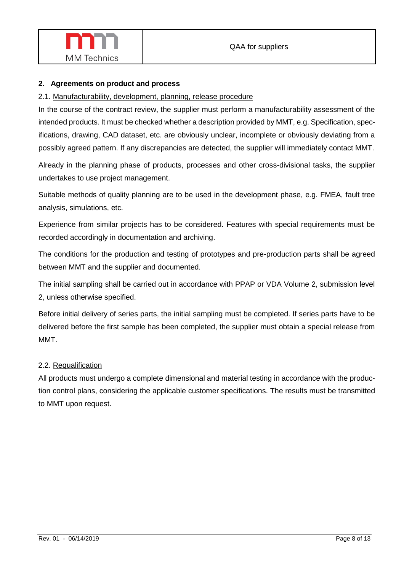

## **2. Agreements on product and process**

## 2.1. Manufacturability, development, planning, release procedure

In the course of the contract review, the supplier must perform a manufacturability assessment of the intended products. It must be checked whether a description provided by MMT, e.g. Specification, specifications, drawing, CAD dataset, etc. are obviously unclear, incomplete or obviously deviating from a possibly agreed pattern. If any discrepancies are detected, the supplier will immediately contact MMT.

Already in the planning phase of products, processes and other cross-divisional tasks, the supplier undertakes to use project management.

Suitable methods of quality planning are to be used in the development phase, e.g. FMEA, fault tree analysis, simulations, etc.

Experience from similar projects has to be considered. Features with special requirements must be recorded accordingly in documentation and archiving.

The conditions for the production and testing of prototypes and pre-production parts shall be agreed between MMT and the supplier and documented.

The initial sampling shall be carried out in accordance with PPAP or VDA Volume 2, submission level 2, unless otherwise specified.

Before initial delivery of series parts, the initial sampling must be completed. If series parts have to be delivered before the first sample has been completed, the supplier must obtain a special release from MMT.

#### 2.2. Requalification

All products must undergo a complete dimensional and material testing in accordance with the production control plans, considering the applicable customer specifications. The results must be transmitted to MMT upon request.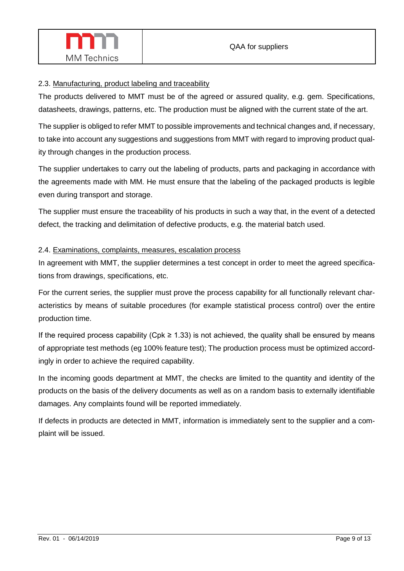

# 2.3. Manufacturing, product labeling and traceability

The products delivered to MMT must be of the agreed or assured quality, e.g. gem. Specifications, datasheets, drawings, patterns, etc. The production must be aligned with the current state of the art.

The supplier is obliged to refer MMT to possible improvements and technical changes and, if necessary, to take into account any suggestions and suggestions from MMT with regard to improving product quality through changes in the production process.

The supplier undertakes to carry out the labeling of products, parts and packaging in accordance with the agreements made with MM. He must ensure that the labeling of the packaged products is legible even during transport and storage.

The supplier must ensure the traceability of his products in such a way that, in the event of a detected defect, the tracking and delimitation of defective products, e.g. the material batch used.

# 2.4. Examinations, complaints, measures, escalation process

In agreement with MMT, the supplier determines a test concept in order to meet the agreed specifications from drawings, specifications, etc.

For the current series, the supplier must prove the process capability for all functionally relevant characteristics by means of suitable procedures (for example statistical process control) over the entire production time.

If the required process capability (Cpk  $\geq$  1.33) is not achieved, the quality shall be ensured by means of appropriate test methods (eg 100% feature test); The production process must be optimized accordingly in order to achieve the required capability.

In the incoming goods department at MMT, the checks are limited to the quantity and identity of the products on the basis of the delivery documents as well as on a random basis to externally identifiable damages. Any complaints found will be reported immediately.

If defects in products are detected in MMT, information is immediately sent to the supplier and a complaint will be issued.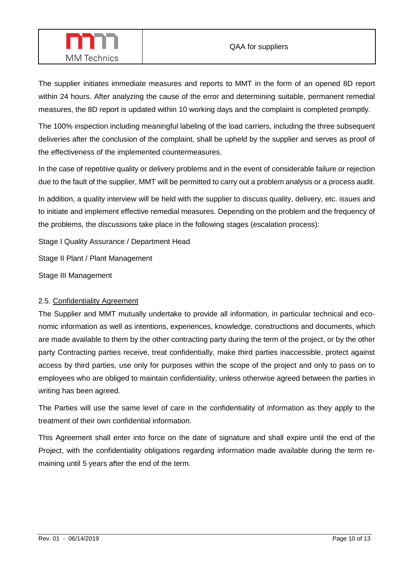

The supplier initiates immediate measures and reports to MMT in the form of an opened 8D report within 24 hours. After analyzing the cause of the error and determining suitable, permanent remedial measures, the 8D report is updated within 10 working days and the complaint is completed promptly.

The 100% inspection including meaningful labeling of the load carriers, including the three subsequent deliveries after the conclusion of the complaint, shall be upheld by the supplier and serves as proof of the effectiveness of the implemented countermeasures.

In the case of repetitive quality or delivery problems and in the event of considerable failure or rejection due to the fault of the supplier, MMT will be permitted to carry out a problem analysis or a process audit.

In addition, a quality interview will be held with the supplier to discuss quality, delivery, etc. issues and to initiate and implement effective remedial measures. Depending on the problem and the frequency of the problems, the discussions take place in the following stages (escalation process):

Stage I Quality Assurance / Department Head

Stage II Plant / Plant Management

Stage III Management

#### 2.5. Confidentiality Agreement

The Supplier and MMT mutually undertake to provide all information, in particular technical and economic information as well as intentions, experiences, knowledge, constructions and documents, which are made available to them by the other contracting party during the term of the project, or by the other party Contracting parties receive, treat confidentially, make third parties inaccessible, protect against access by third parties, use only for purposes within the scope of the project and only to pass on to employees who are obliged to maintain confidentiality, unless otherwise agreed between the parties in writing has been agreed.

The Parties will use the same level of care in the confidentiality of information as they apply to the treatment of their own confidential information.

This Agreement shall enter into force on the date of signature and shall expire until the end of the Project, with the confidentiality obligations regarding information made available during the term remaining until 5 years after the end of the term.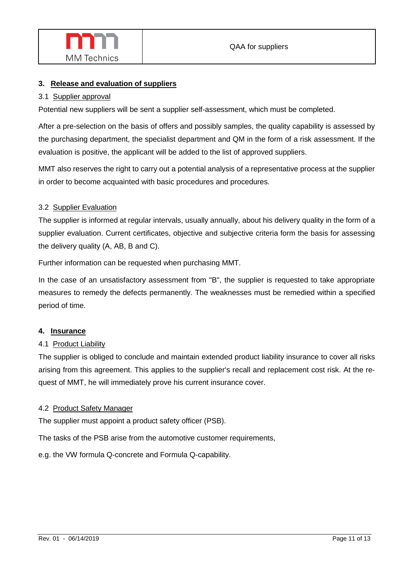

## **3. Release and evaluation of suppliers**

#### 3.1 Supplier approval

Potential new suppliers will be sent a supplier self-assessment, which must be completed.

After a pre-selection on the basis of offers and possibly samples, the quality capability is assessed by the purchasing department, the specialist department and QM in the form of a risk assessment. If the evaluation is positive, the applicant will be added to the list of approved suppliers.

MMT also reserves the right to carry out a potential analysis of a representative process at the supplier in order to become acquainted with basic procedures and procedures.

#### 3.2 Supplier Evaluation

The supplier is informed at regular intervals, usually annually, about his delivery quality in the form of a supplier evaluation. Current certificates, objective and subjective criteria form the basis for assessing the delivery quality (A, AB, B and C).

Further information can be requested when purchasing MMT.

In the case of an unsatisfactory assessment from "B", the supplier is requested to take appropriate measures to remedy the defects permanently. The weaknesses must be remedied within a specified period of time.

#### **4. Insurance**

#### 4.1 Product Liability

The supplier is obliged to conclude and maintain extended product liability insurance to cover all risks arising from this agreement. This applies to the supplier's recall and replacement cost risk. At the request of MMT, he will immediately prove his current insurance cover.

#### 4.2 Product Safety Manager

The supplier must appoint a product safety officer (PSB).

The tasks of the PSB arise from the automotive customer requirements,

e.g. the VW formula Q-concrete and Formula Q-capability.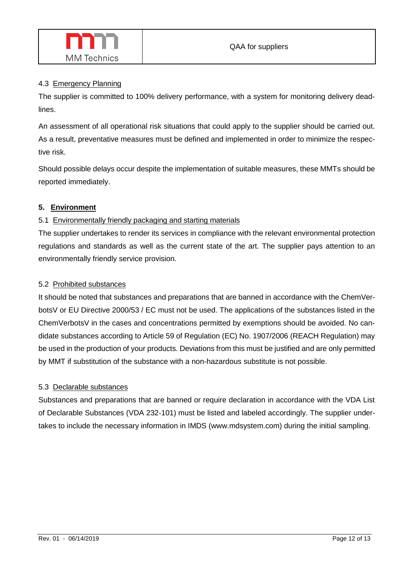

## 4.3 Emergency Planning

The supplier is committed to 100% delivery performance, with a system for monitoring delivery deadlines.

An assessment of all operational risk situations that could apply to the supplier should be carried out. As a result, preventative measures must be defined and implemented in order to minimize the respective risk.

Should possible delays occur despite the implementation of suitable measures, these MMTs should be reported immediately.

# **5. Environment**

# 5.1 Environmentally friendly packaging and starting materials

The supplier undertakes to render its services in compliance with the relevant environmental protection regulations and standards as well as the current state of the art. The supplier pays attention to an environmentally friendly service provision.

# 5.2 Prohibited substances

It should be noted that substances and preparations that are banned in accordance with the ChemVerbotsV or EU Directive 2000/53 / EC must not be used. The applications of the substances listed in the ChemVerbotsV in the cases and concentrations permitted by exemptions should be avoided. No candidate substances according to Article 59 of Regulation (EC) No. 1907/2006 (REACH Regulation) may be used in the production of your products. Deviations from this must be justified and are only permitted by MMT if substitution of the substance with a non-hazardous substitute is not possible.

# 5.3 Declarable substances

Substances and preparations that are banned or require declaration in accordance with the VDA List of Declarable Substances (VDA 232-101) must be listed and labeled accordingly. The supplier undertakes to include the necessary information in IMDS (www.mdsystem.com) during the initial sampling.